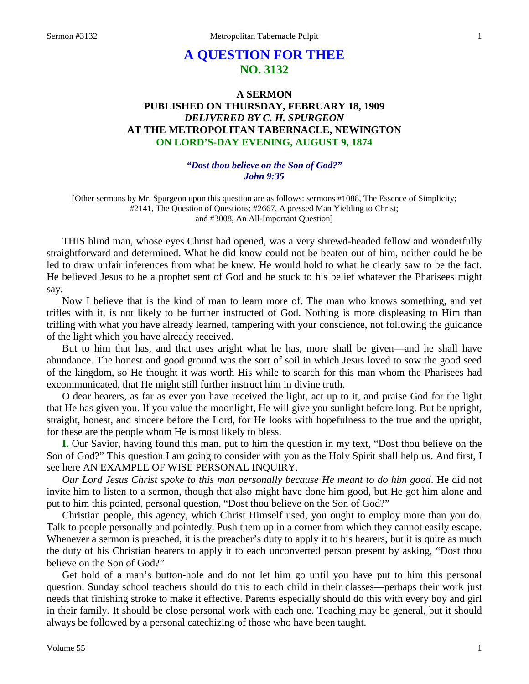# **A QUESTION FOR THEE NO. 3132**

## **A SERMON PUBLISHED ON THURSDAY, FEBRUARY 18, 1909** *DELIVERED BY C. H. SPURGEON* **AT THE METROPOLITAN TABERNACLE, NEWINGTON ON LORD'S-DAY EVENING, AUGUST 9, 1874**

### *"Dost thou believe on the Son of God?" John 9:35*

[Other sermons by Mr. Spurgeon upon this question are as follows: sermons #1088, The Essence of Simplicity; #2141, The Question of Questions; #2667, A pressed Man Yielding to Christ; and #3008, An All-Important Question]

THIS blind man, whose eyes Christ had opened, was a very shrewd-headed fellow and wonderfully straightforward and determined. What he did know could not be beaten out of him, neither could he be led to draw unfair inferences from what he knew. He would hold to what he clearly saw to be the fact. He believed Jesus to be a prophet sent of God and he stuck to his belief whatever the Pharisees might say.

Now I believe that is the kind of man to learn more of. The man who knows something, and yet trifles with it, is not likely to be further instructed of God. Nothing is more displeasing to Him than trifling with what you have already learned, tampering with your conscience, not following the guidance of the light which you have already received.

But to him that has, and that uses aright what he has, more shall be given—and he shall have abundance. The honest and good ground was the sort of soil in which Jesus loved to sow the good seed of the kingdom, so He thought it was worth His while to search for this man whom the Pharisees had excommunicated, that He might still further instruct him in divine truth.

O dear hearers, as far as ever you have received the light, act up to it, and praise God for the light that He has given you. If you value the moonlight, He will give you sunlight before long. But be upright, straight, honest, and sincere before the Lord, for He looks with hopefulness to the true and the upright, for these are the people whom He is most likely to bless.

**I.** Our Savior, having found this man, put to him the question in my text, "Dost thou believe on the Son of God?" This question I am going to consider with you as the Holy Spirit shall help us. And first, I see here AN EXAMPLE OF WISE PERSONAL INQUIRY.

*Our Lord Jesus Christ spoke to this man personally because He meant to do him good*. He did not invite him to listen to a sermon, though that also might have done him good, but He got him alone and put to him this pointed, personal question, "Dost thou believe on the Son of God?"

Christian people, this agency, which Christ Himself used, you ought to employ more than you do. Talk to people personally and pointedly. Push them up in a corner from which they cannot easily escape. Whenever a sermon is preached, it is the preacher's duty to apply it to his hearers, but it is quite as much the duty of his Christian hearers to apply it to each unconverted person present by asking, "Dost thou believe on the Son of God?"

Get hold of a man's button-hole and do not let him go until you have put to him this personal question. Sunday school teachers should do this to each child in their classes—perhaps their work just needs that finishing stroke to make it effective. Parents especially should do this with every boy and girl in their family. It should be close personal work with each one. Teaching may be general, but it should always be followed by a personal catechizing of those who have been taught.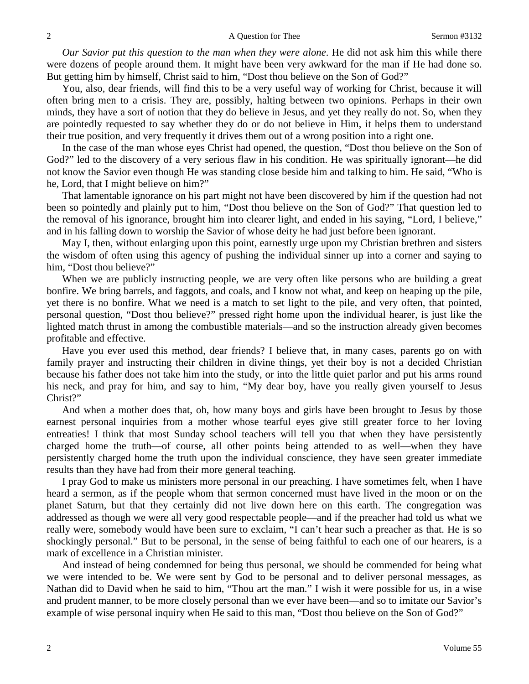*Our Savior put this question to the man when they were alone*. He did not ask him this while there were dozens of people around them. It might have been very awkward for the man if He had done so. But getting him by himself, Christ said to him, "Dost thou believe on the Son of God?"

You, also, dear friends, will find this to be a very useful way of working for Christ, because it will often bring men to a crisis. They are, possibly, halting between two opinions. Perhaps in their own minds, they have a sort of notion that they do believe in Jesus, and yet they really do not. So, when they are pointedly requested to say whether they do or do not believe in Him, it helps them to understand their true position, and very frequently it drives them out of a wrong position into a right one.

In the case of the man whose eyes Christ had opened, the question, "Dost thou believe on the Son of God?" led to the discovery of a very serious flaw in his condition. He was spiritually ignorant—he did not know the Savior even though He was standing close beside him and talking to him. He said, "Who is he, Lord, that I might believe on him?"

That lamentable ignorance on his part might not have been discovered by him if the question had not been so pointedly and plainly put to him, "Dost thou believe on the Son of God?" That question led to the removal of his ignorance, brought him into clearer light, and ended in his saying, "Lord, I believe," and in his falling down to worship the Savior of whose deity he had just before been ignorant.

May I, then, without enlarging upon this point, earnestly urge upon my Christian brethren and sisters the wisdom of often using this agency of pushing the individual sinner up into a corner and saying to him, "Dost thou believe?"

When we are publicly instructing people, we are very often like persons who are building a great bonfire. We bring barrels, and faggots, and coals, and I know not what, and keep on heaping up the pile, yet there is no bonfire. What we need is a match to set light to the pile, and very often, that pointed, personal question, "Dost thou believe?" pressed right home upon the individual hearer, is just like the lighted match thrust in among the combustible materials—and so the instruction already given becomes profitable and effective.

Have you ever used this method, dear friends? I believe that, in many cases, parents go on with family prayer and instructing their children in divine things, yet their boy is not a decided Christian because his father does not take him into the study, or into the little quiet parlor and put his arms round his neck, and pray for him, and say to him, "My dear boy, have you really given yourself to Jesus Christ?"

And when a mother does that, oh, how many boys and girls have been brought to Jesus by those earnest personal inquiries from a mother whose tearful eyes give still greater force to her loving entreaties! I think that most Sunday school teachers will tell you that when they have persistently charged home the truth—of course, all other points being attended to as well—when they have persistently charged home the truth upon the individual conscience, they have seen greater immediate results than they have had from their more general teaching.

I pray God to make us ministers more personal in our preaching. I have sometimes felt, when I have heard a sermon, as if the people whom that sermon concerned must have lived in the moon or on the planet Saturn, but that they certainly did not live down here on this earth. The congregation was addressed as though we were all very good respectable people—and if the preacher had told us what we really were, somebody would have been sure to exclaim, "I can't hear such a preacher as that. He is so shockingly personal." But to be personal, in the sense of being faithful to each one of our hearers, is a mark of excellence in a Christian minister.

And instead of being condemned for being thus personal, we should be commended for being what we were intended to be. We were sent by God to be personal and to deliver personal messages, as Nathan did to David when he said to him, "Thou art the man." I wish it were possible for us, in a wise and prudent manner, to be more closely personal than we ever have been—and so to imitate our Savior's example of wise personal inquiry when He said to this man, "Dost thou believe on the Son of God?"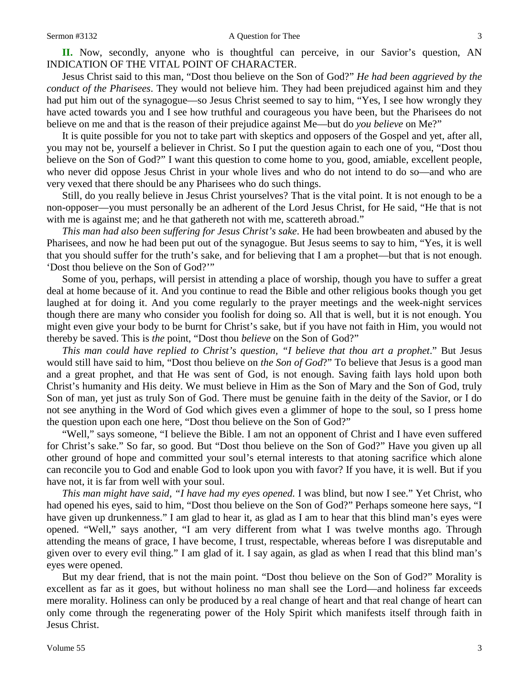**II.** Now, secondly, anyone who is thoughtful can perceive, in our Savior's question, AN INDICATION OF THE VITAL POINT OF CHARACTER.

Jesus Christ said to this man, "Dost thou believe on the Son of God?" *He had been aggrieved by the conduct of the Pharisees*. They would not believe him. They had been prejudiced against him and they had put him out of the synagogue—so Jesus Christ seemed to say to him, "Yes, I see how wrongly they have acted towards you and I see how truthful and courageous you have been, but the Pharisees do not believe on me and that is the reason of their prejudice against Me—but do *you believe* on Me?"

It is quite possible for you not to take part with skeptics and opposers of the Gospel and yet, after all, you may not be, yourself a believer in Christ. So I put the question again to each one of you, "Dost thou believe on the Son of God?" I want this question to come home to you, good, amiable, excellent people, who never did oppose Jesus Christ in your whole lives and who do not intend to do so—and who are very vexed that there should be any Pharisees who do such things.

Still, do you really believe in Jesus Christ yourselves? That is the vital point. It is not enough to be a non-opposer—you must personally be an adherent of the Lord Jesus Christ, for He said, "He that is not with me is against me; and he that gathereth not with me, scattereth abroad."

*This man had also been suffering for Jesus Christ's sake*. He had been browbeaten and abused by the Pharisees, and now he had been put out of the synagogue. But Jesus seems to say to him, "Yes, it is well that you should suffer for the truth's sake, and for believing that I am a prophet—but that is not enough. 'Dost thou believe on the Son of God?'"

Some of you, perhaps, will persist in attending a place of worship, though you have to suffer a great deal at home because of it. And you continue to read the Bible and other religious books though you get laughed at for doing it. And you come regularly to the prayer meetings and the week-night services though there are many who consider you foolish for doing so. All that is well, but it is not enough. You might even give your body to be burnt for Christ's sake, but if you have not faith in Him, you would not thereby be saved. This is *the* point, "Dost thou *believe* on the Son of God?"

*This man could have replied to Christ's question, "I believe that thou art a prophet*." But Jesus would still have said to him, "Dost thou believe on *the Son of God*?" To believe that Jesus is a good man and a great prophet, and that He was sent of God, is not enough. Saving faith lays hold upon both Christ's humanity and His deity. We must believe in Him as the Son of Mary and the Son of God, truly Son of man, yet just as truly Son of God. There must be genuine faith in the deity of the Savior, or I do not see anything in the Word of God which gives even a glimmer of hope to the soul, so I press home the question upon each one here, "Dost thou believe on the Son of God?"

"Well," says someone, "I believe the Bible. I am not an opponent of Christ and I have even suffered for Christ's sake." So far, so good. But "Dost thou believe on the Son of God?" Have you given up all other ground of hope and committed your soul's eternal interests to that atoning sacrifice which alone can reconcile you to God and enable God to look upon you with favor? If you have, it is well. But if you have not, it is far from well with your soul.

*This man might have said, "I have had my eyes opened.* I was blind, but now I see." Yet Christ, who had opened his eyes, said to him, "Dost thou believe on the Son of God?" Perhaps someone here says, "I have given up drunkenness." I am glad to hear it, as glad as I am to hear that this blind man's eyes were opened. "Well," says another, "I am very different from what I was twelve months ago. Through attending the means of grace, I have become, I trust, respectable, whereas before I was disreputable and given over to every evil thing." I am glad of it. I say again, as glad as when I read that this blind man's eyes were opened.

But my dear friend, that is not the main point. "Dost thou believe on the Son of God?" Morality is excellent as far as it goes, but without holiness no man shall see the Lord—and holiness far exceeds mere morality. Holiness can only be produced by a real change of heart and that real change of heart can only come through the regenerating power of the Holy Spirit which manifests itself through faith in Jesus Christ.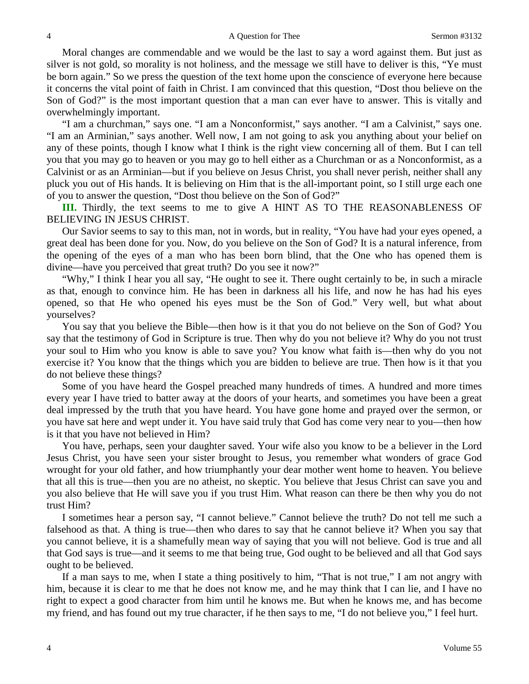Moral changes are commendable and we would be the last to say a word against them. But just as silver is not gold, so morality is not holiness, and the message we still have to deliver is this, "Ye must be born again." So we press the question of the text home upon the conscience of everyone here because it concerns the vital point of faith in Christ. I am convinced that this question, "Dost thou believe on the Son of God?" is the most important question that a man can ever have to answer. This is vitally and overwhelmingly important.

"I am a churchman," says one. "I am a Nonconformist," says another. "I am a Calvinist," says one. "I am an Arminian," says another. Well now, I am not going to ask you anything about your belief on any of these points, though I know what I think is the right view concerning all of them. But I can tell you that you may go to heaven or you may go to hell either as a Churchman or as a Nonconformist, as a Calvinist or as an Arminian—but if you believe on Jesus Christ, you shall never perish, neither shall any pluck you out of His hands. It is believing on Him that is the all-important point, so I still urge each one of you to answer the question, "Dost thou believe on the Son of God?"

**III.** Thirdly, the text seems to me to give A HINT AS TO THE REASONABLENESS OF BELIEVING IN JESUS CHRIST.

Our Savior seems to say to this man, not in words, but in reality, "You have had your eyes opened, a great deal has been done for you. Now, do you believe on the Son of God? It is a natural inference, from the opening of the eyes of a man who has been born blind, that the One who has opened them is divine—have you perceived that great truth? Do you see it now?"

"Why," I think I hear you all say, "He ought to see it. There ought certainly to be, in such a miracle as that, enough to convince him. He has been in darkness all his life, and now he has had his eyes opened, so that He who opened his eyes must be the Son of God." Very well, but what about yourselves?

You say that you believe the Bible—then how is it that you do not believe on the Son of God? You say that the testimony of God in Scripture is true. Then why do you not believe it? Why do you not trust your soul to Him who you know is able to save you? You know what faith is—then why do you not exercise it? You know that the things which you are bidden to believe are true. Then how is it that you do not believe these things?

Some of you have heard the Gospel preached many hundreds of times. A hundred and more times every year I have tried to batter away at the doors of your hearts, and sometimes you have been a great deal impressed by the truth that you have heard. You have gone home and prayed over the sermon, or you have sat here and wept under it. You have said truly that God has come very near to you—then how is it that you have not believed in Him?

You have, perhaps, seen your daughter saved. Your wife also you know to be a believer in the Lord Jesus Christ, you have seen your sister brought to Jesus, you remember what wonders of grace God wrought for your old father, and how triumphantly your dear mother went home to heaven. You believe that all this is true—then you are no atheist, no skeptic. You believe that Jesus Christ can save you and you also believe that He will save you if you trust Him. What reason can there be then why you do not trust Him?

I sometimes hear a person say, "I cannot believe." Cannot believe the truth? Do not tell me such a falsehood as that. A thing is true—then who dares to say that he cannot believe it? When you say that you cannot believe, it is a shamefully mean way of saying that you will not believe. God is true and all that God says is true—and it seems to me that being true, God ought to be believed and all that God says ought to be believed.

If a man says to me, when I state a thing positively to him, "That is not true," I am not angry with him, because it is clear to me that he does not know me, and he may think that I can lie, and I have no right to expect a good character from him until he knows me. But when he knows me, and has become my friend, and has found out my true character, if he then says to me, "I do not believe you," I feel hurt.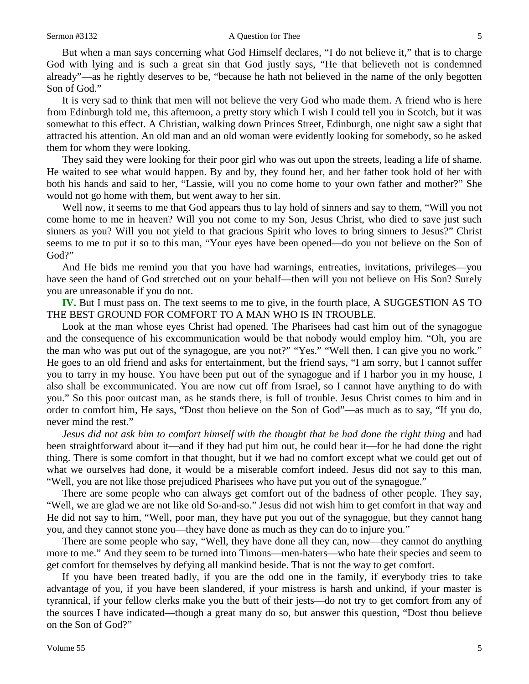But when a man says concerning what God Himself declares, "I do not believe it," that is to charge God with lying and is such a great sin that God justly says, "He that believeth not is condemned already"—as he rightly deserves to be, "because he hath not believed in the name of the only begotten Son of God."

It is very sad to think that men will not believe the very God who made them. A friend who is here from Edinburgh told me, this afternoon, a pretty story which I wish I could tell you in Scotch, but it was somewhat to this effect. A Christian, walking down Princes Street, Edinburgh, one night saw a sight that attracted his attention. An old man and an old woman were evidently looking for somebody, so he asked them for whom they were looking.

They said they were looking for their poor girl who was out upon the streets, leading a life of shame. He waited to see what would happen. By and by, they found her, and her father took hold of her with both his hands and said to her, "Lassie, will you no come home to your own father and mother?" She would not go home with them, but went away to her sin.

Well now, it seems to me that God appears thus to lay hold of sinners and say to them, "Will you not come home to me in heaven? Will you not come to my Son, Jesus Christ, who died to save just such sinners as you? Will you not yield to that gracious Spirit who loves to bring sinners to Jesus?" Christ seems to me to put it so to this man, "Your eyes have been opened—do you not believe on the Son of God?"

And He bids me remind you that you have had warnings, entreaties, invitations, privileges—you have seen the hand of God stretched out on your behalf—then will you not believe on His Son? Surely you are unreasonable if you do not.

**IV.** But I must pass on. The text seems to me to give, in the fourth place, A SUGGESTION AS TO THE BEST GROUND FOR COMFORT TO A MAN WHO IS IN TROUBLE.

Look at the man whose eyes Christ had opened. The Pharisees had cast him out of the synagogue and the consequence of his excommunication would be that nobody would employ him. "Oh, you are the man who was put out of the synagogue, are you not?" "Yes." "Well then, I can give you no work." He goes to an old friend and asks for entertainment, but the friend says, "I am sorry, but I cannot suffer you to tarry in my house. You have been put out of the synagogue and if I harbor you in my house, I also shall be excommunicated. You are now cut off from Israel, so I cannot have anything to do with you." So this poor outcast man, as he stands there, is full of trouble. Jesus Christ comes to him and in order to comfort him, He says, "Dost thou believe on the Son of God"—as much as to say, "If you do, never mind the rest."

*Jesus did not ask him to comfort himself with the thought that he had done the right thing* and had been straightforward about it—and if they had put him out, he could bear it—for he had done the right thing. There is some comfort in that thought, but if we had no comfort except what we could get out of what we ourselves had done, it would be a miserable comfort indeed. Jesus did not say to this man, "Well, you are not like those prejudiced Pharisees who have put you out of the synagogue."

There are some people who can always get comfort out of the badness of other people. They say, "Well, we are glad we are not like old So-and-so." Jesus did not wish him to get comfort in that way and He did not say to him, "Well, poor man, they have put you out of the synagogue, but they cannot hang you, and they cannot stone you—they have done as much as they can do to injure you."

There are some people who say, "Well, they have done all they can, now—they cannot do anything more to me." And they seem to be turned into Timons—men-haters—who hate their species and seem to get comfort for themselves by defying all mankind beside. That is not the way to get comfort.

If you have been treated badly, if you are the odd one in the family, if everybody tries to take advantage of you, if you have been slandered, if your mistress is harsh and unkind, if your master is tyrannical, if your fellow clerks make you the butt of their jests—do not try to get comfort from any of the sources I have indicated—though a great many do so, but answer this question, "Dost thou believe on the Son of God?"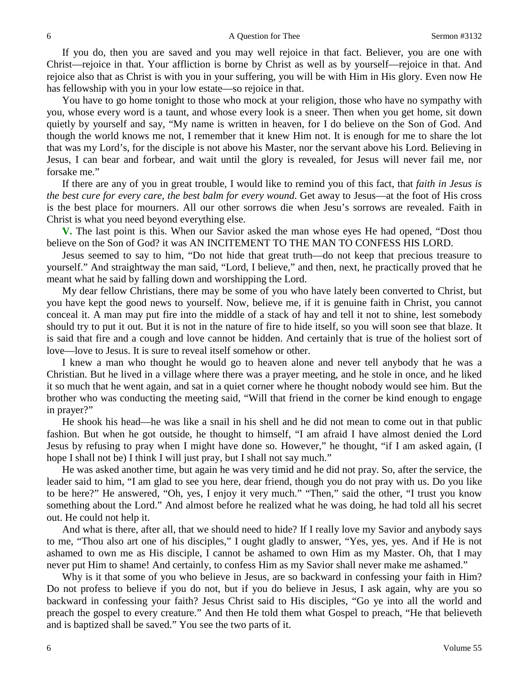If you do, then you are saved and you may well rejoice in that fact. Believer, you are one with Christ—rejoice in that. Your affliction is borne by Christ as well as by yourself—rejoice in that. And rejoice also that as Christ is with you in your suffering, you will be with Him in His glory. Even now He has fellowship with you in your low estate—so rejoice in that.

You have to go home tonight to those who mock at your religion, those who have no sympathy with you, whose every word is a taunt, and whose every look is a sneer. Then when you get home, sit down quietly by yourself and say, "My name is written in heaven, for I do believe on the Son of God. And though the world knows me not, I remember that it knew Him not. It is enough for me to share the lot that was my Lord's, for the disciple is not above his Master, nor the servant above his Lord. Believing in Jesus, I can bear and forbear, and wait until the glory is revealed, for Jesus will never fail me, nor forsake me."

If there are any of you in great trouble, I would like to remind you of this fact, that *faith in Jesus is the best cure for every care, the best balm for every wound*. Get away to Jesus—at the foot of His cross is the best place for mourners. All our other sorrows die when Jesu's sorrows are revealed. Faith in Christ is what you need beyond everything else.

**V.** The last point is this. When our Savior asked the man whose eyes He had opened, "Dost thou believe on the Son of God? it was AN INCITEMENT TO THE MAN TO CONFESS HIS LORD.

Jesus seemed to say to him, "Do not hide that great truth—do not keep that precious treasure to yourself." And straightway the man said, "Lord, I believe," and then, next, he practically proved that he meant what he said by falling down and worshipping the Lord.

My dear fellow Christians, there may be some of you who have lately been converted to Christ, but you have kept the good news to yourself. Now, believe me, if it is genuine faith in Christ, you cannot conceal it. A man may put fire into the middle of a stack of hay and tell it not to shine, lest somebody should try to put it out. But it is not in the nature of fire to hide itself, so you will soon see that blaze. It is said that fire and a cough and love cannot be hidden. And certainly that is true of the holiest sort of love—love to Jesus. It is sure to reveal itself somehow or other.

I knew a man who thought he would go to heaven alone and never tell anybody that he was a Christian. But he lived in a village where there was a prayer meeting, and he stole in once, and he liked it so much that he went again, and sat in a quiet corner where he thought nobody would see him. But the brother who was conducting the meeting said, "Will that friend in the corner be kind enough to engage in prayer?"

He shook his head—he was like a snail in his shell and he did not mean to come out in that public fashion. But when he got outside, he thought to himself, "I am afraid I have almost denied the Lord Jesus by refusing to pray when I might have done so. However," he thought, "if I am asked again, (I hope I shall not be) I think I will just pray, but I shall not say much."

He was asked another time, but again he was very timid and he did not pray. So, after the service, the leader said to him, "I am glad to see you here, dear friend, though you do not pray with us. Do you like to be here?" He answered, "Oh, yes, I enjoy it very much." "Then," said the other, "I trust you know something about the Lord." And almost before he realized what he was doing, he had told all his secret out. He could not help it.

And what is there, after all, that we should need to hide? If I really love my Savior and anybody says to me, "Thou also art one of his disciples," I ought gladly to answer, "Yes, yes, yes. And if He is not ashamed to own me as His disciple, I cannot be ashamed to own Him as my Master. Oh, that I may never put Him to shame! And certainly, to confess Him as my Savior shall never make me ashamed."

Why is it that some of you who believe in Jesus, are so backward in confessing your faith in Him? Do not profess to believe if you do not, but if you do believe in Jesus, I ask again, why are you so backward in confessing your faith? Jesus Christ said to His disciples, "Go ye into all the world and preach the gospel to every creature." And then He told them what Gospel to preach, "He that believeth and is baptized shall be saved." You see the two parts of it.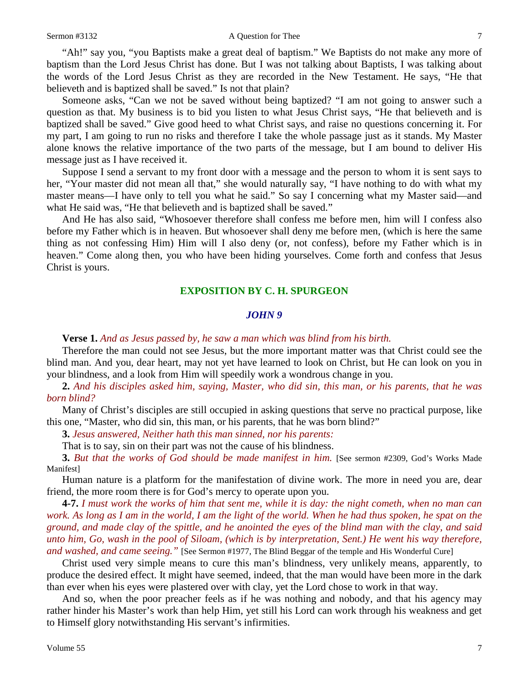"Ah!" say you, "you Baptists make a great deal of baptism." We Baptists do not make any more of baptism than the Lord Jesus Christ has done. But I was not talking about Baptists, I was talking about the words of the Lord Jesus Christ as they are recorded in the New Testament. He says, "He that believeth and is baptized shall be saved." Is not that plain?

Someone asks, "Can we not be saved without being baptized? "I am not going to answer such a question as that. My business is to bid you listen to what Jesus Christ says, "He that believeth and is baptized shall be saved." Give good heed to what Christ says, and raise no questions concerning it. For my part, I am going to run no risks and therefore I take the whole passage just as it stands. My Master alone knows the relative importance of the two parts of the message, but I am bound to deliver His message just as I have received it.

Suppose I send a servant to my front door with a message and the person to whom it is sent says to her, "Your master did not mean all that," she would naturally say, "I have nothing to do with what my master means—I have only to tell you what he said." So say I concerning what my Master said—and what He said was, "He that believeth and is baptized shall be saved."

And He has also said, "Whosoever therefore shall confess me before men, him will I confess also before my Father which is in heaven. But whosoever shall deny me before men, (which is here the same thing as not confessing Him) Him will I also deny (or, not confess), before my Father which is in heaven." Come along then, you who have been hiding yourselves. Come forth and confess that Jesus Christ is yours.

### **EXPOSITION BY C. H. SPURGEON**

### *JOHN 9*

**Verse 1.** *And as Jesus passed by, he saw a man which was blind from his birth.* 

Therefore the man could not see Jesus, but the more important matter was that Christ could see the blind man. And you, dear heart, may not yet have learned to look on Christ, but He can look on you in your blindness, and a look from Him will speedily work a wondrous change in you.

**2.** *And his disciples asked him, saying, Master, who did sin, this man, or his parents, that he was born blind?* 

Many of Christ's disciples are still occupied in asking questions that serve no practical purpose, like this one, "Master, who did sin, this man, or his parents, that he was born blind?"

**3.** *Jesus answered, Neither hath this man sinned, nor his parents:*

That is to say, sin on their part was not the cause of his blindness.

**3.** *But that the works of God should be made manifest in him.* [See sermon #2309, God's Works Made Manifest]

Human nature is a platform for the manifestation of divine work. The more in need you are, dear friend, the more room there is for God's mercy to operate upon you.

**4-7.** *I must work the works of him that sent me, while it is day: the night cometh, when no man can work. As long as I am in the world, I am the light of the world. When he had thus spoken, he spat on the ground, and made clay of the spittle, and he anointed the eyes of the blind man with the clay, and said unto him, Go, wash in the pool of Siloam, (which is by interpretation, Sent.) He went his way therefore, and washed, and came seeing."* [See Sermon #1977, The Blind Beggar of the temple and His Wonderful Cure]

Christ used very simple means to cure this man's blindness, very unlikely means, apparently, to produce the desired effect. It might have seemed, indeed, that the man would have been more in the dark than ever when his eyes were plastered over with clay, yet the Lord chose to work in that way.

And so, when the poor preacher feels as if he was nothing and nobody, and that his agency may rather hinder his Master's work than help Him, yet still his Lord can work through his weakness and get to Himself glory notwithstanding His servant's infirmities.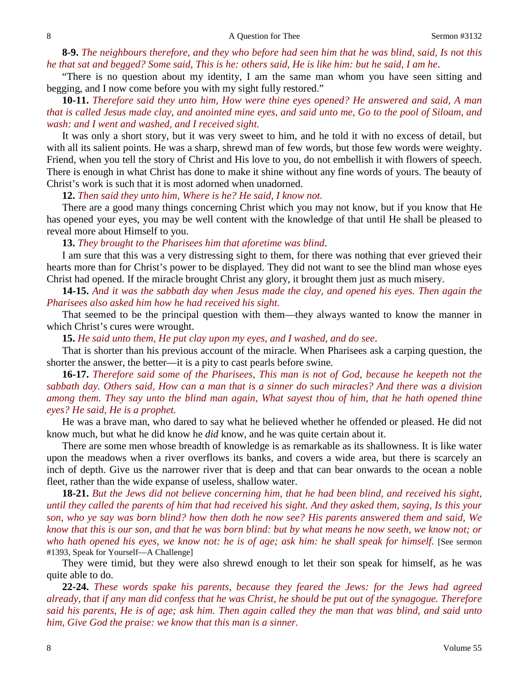**8-9.** *The neighbours therefore, and they who before had seen him that he was blind, said, Is not this he that sat and begged? Some said, This is he: others said, He is like him: but he said, I am he*.

"There is no question about my identity, I am the same man whom you have seen sitting and begging, and I now come before you with my sight fully restored."

**10-11.** *Therefore said they unto him, How were thine eyes opened? He answered and said, A man that is called Jesus made clay, and anointed mine eyes, and said unto me, Go to the pool of Siloam, and wash: and I went and washed, and I received sight.*

It was only a short story, but it was very sweet to him, and he told it with no excess of detail, but with all its salient points. He was a sharp, shrewd man of few words, but those few words were weighty. Friend, when you tell the story of Christ and His love to you, do not embellish it with flowers of speech. There is enough in what Christ has done to make it shine without any fine words of yours. The beauty of Christ's work is such that it is most adorned when unadorned.

**12.** *Then said they unto him, Where is he? He said, I know not.* 

There are a good many things concerning Christ which you may not know, but if you know that He has opened your eyes, you may be well content with the knowledge of that until He shall be pleased to reveal more about Himself to you.

**13.** *They brought to the Pharisees him that aforetime was blind*.

I am sure that this was a very distressing sight to them, for there was nothing that ever grieved their hearts more than for Christ's power to be displayed. They did not want to see the blind man whose eyes Christ had opened. If the miracle brought Christ any glory, it brought them just as much misery.

**14-15.** *And it was the sabbath day when Jesus made the clay, and opened his eyes. Then again the Pharisees also asked him how he had received his sight.*

That seemed to be the principal question with them—they always wanted to know the manner in which Christ's cures were wrought.

**15.** *He said unto them, He put clay upon my eyes, and I washed, and do see*.

That is shorter than his previous account of the miracle. When Pharisees ask a carping question, the shorter the answer, the better—it is a pity to cast pearls before swine.

**16-17.** *Therefore said some of the Pharisees, This man is not of God, because he keepeth not the sabbath day. Others said, How can a man that is a sinner do such miracles? And there was a division among them. They say unto the blind man again, What sayest thou of him, that he hath opened thine eyes? He said, He is a prophet.*

He was a brave man, who dared to say what he believed whether he offended or pleased. He did not know much, but what he did know he *did* know, and he was quite certain about it.

There are some men whose breadth of knowledge is as remarkable as its shallowness. It is like water upon the meadows when a river overflows its banks, and covers a wide area, but there is scarcely an inch of depth. Give us the narrower river that is deep and that can bear onwards to the ocean a noble fleet, rather than the wide expanse of useless, shallow water.

**18-21.** *But the Jews did not believe concerning him, that he had been blind, and received his sight, until they called the parents of him that had received his sight. And they asked them, saying, Is this your son, who ye say was born blind? how then doth he now see? His parents answered them and said, We know that this is our son, and that he was born blind: but by what means he now seeth, we know not; or who hath opened his eyes, we know not: he is of age; ask him: he shall speak for himself.* [See sermon #1393, Speak for Yourself—A Challenge]

They were timid, but they were also shrewd enough to let their son speak for himself, as he was quite able to do.

**22-24.** *These words spake his parents, because they feared the Jews: for the Jews had agreed already, that if any man did confess that he was Christ, he should be put out of the synagogue. Therefore said his parents, He is of age; ask him. Then again called they the man that was blind, and said unto him, Give God the praise: we know that this man is a sinner.*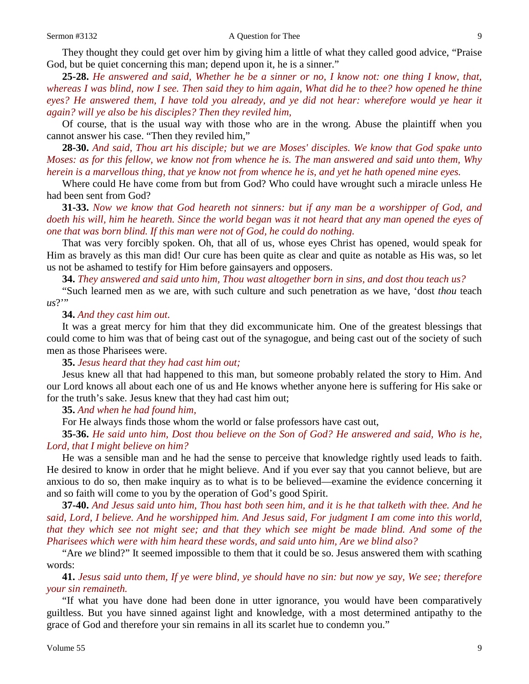They thought they could get over him by giving him a little of what they called good advice, "Praise God, but be quiet concerning this man; depend upon it, he is a sinner."

**25-28.** *He answered and said, Whether he be a sinner or no, I know not: one thing I know, that, whereas I was blind, now I see. Then said they to him again, What did he to thee? how opened he thine eyes? He answered them, I have told you already, and ye did not hear: wherefore would ye hear it again? will ye also be his disciples? Then they reviled him,* 

Of course, that is the usual way with those who are in the wrong. Abuse the plaintiff when you cannot answer his case. "Then they reviled him,"

**28-30.** *And said, Thou art his disciple; but we are Moses' disciples. We know that God spake unto Moses: as for this fellow, we know not from whence he is. The man answered and said unto them, Why herein is a marvellous thing, that ye know not from whence he is, and yet he hath opened mine eyes.*

Where could He have come from but from God? Who could have wrought such a miracle unless He had been sent from God?

**31-33.** *Now we know that God heareth not sinners: but if any man be a worshipper of God, and doeth his will, him he heareth. Since the world began was it not heard that any man opened the eyes of one that was born blind. If this man were not of God, he could do nothing.*

That was very forcibly spoken. Oh, that all of us, whose eyes Christ has opened, would speak for Him as bravely as this man did! Our cure has been quite as clear and quite as notable as His was, so let us not be ashamed to testify for Him before gainsayers and opposers.

**34.** *They answered and said unto him, Thou wast altogether born in sins, and dost thou teach us?* 

"Such learned men as we are, with such culture and such penetration as we have, 'dost *thou* teach us?"

#### **34.** *And they cast him out.*

It was a great mercy for him that they did excommunicate him. One of the greatest blessings that could come to him was that of being cast out of the synagogue, and being cast out of the society of such men as those Pharisees were.

**35.** *Jesus heard that they had cast him out;*

Jesus knew all that had happened to this man, but someone probably related the story to Him. And our Lord knows all about each one of us and He knows whether anyone here is suffering for His sake or for the truth's sake. Jesus knew that they had cast him out;

**35.** *And when he had found him,*

For He always finds those whom the world or false professors have cast out,

**35-36.** *He said unto him, Dost thou believe on the Son of God? He answered and said, Who is he, Lord, that I might believe on him?*

He was a sensible man and he had the sense to perceive that knowledge rightly used leads to faith. He desired to know in order that he might believe. And if you ever say that you cannot believe, but are anxious to do so, then make inquiry as to what is to be believed—examine the evidence concerning it and so faith will come to you by the operation of God's good Spirit.

**37-40.** *And Jesus said unto him, Thou hast both seen him, and it is he that talketh with thee. And he said, Lord, I believe. And he worshipped him. And Jesus said, For judgment I am come into this world, that they which see not might see; and that they which see might be made blind. And some of the Pharisees which were with him heard these words, and said unto him, Are we blind also?*

"Are *we* blind?" It seemed impossible to them that it could be so. Jesus answered them with scathing words:

**41.** *Jesus said unto them, If ye were blind, ye should have no sin: but now ye say, We see; therefore your sin remaineth.* 

"If what you have done had been done in utter ignorance, you would have been comparatively guiltless. But you have sinned against light and knowledge, with a most determined antipathy to the grace of God and therefore your sin remains in all its scarlet hue to condemn you."